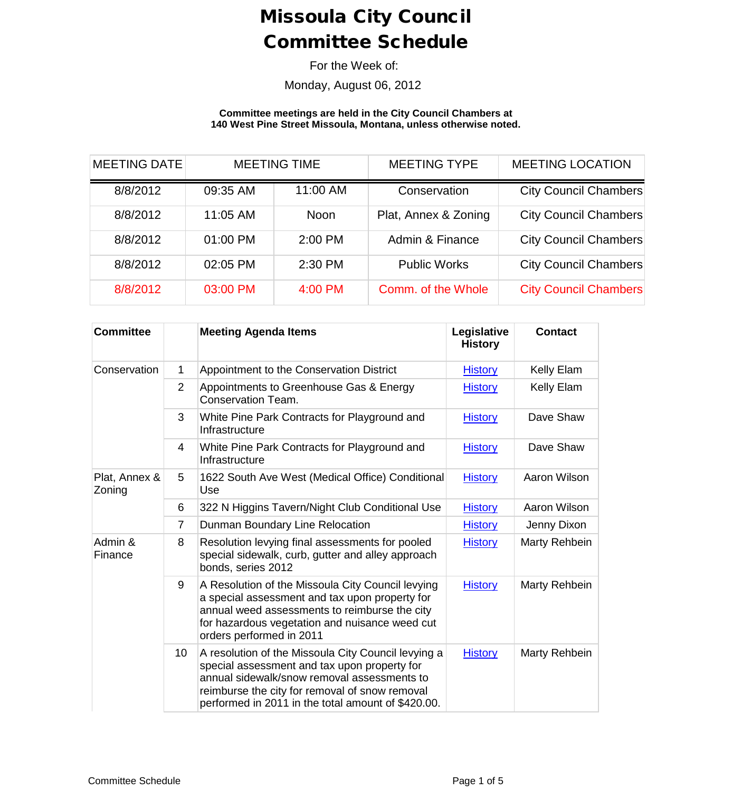For the Week of:

Monday, August 06, 2012

**Committee meetings are held in the City Council Chambers at 140 West Pine Street Missoula, Montana, unless otherwise noted.**

| <b>MEETING DATE</b> | <b>MEETING TIME</b> |             | <b>MEETING TYPE</b>  | <b>MEETING LOCATION</b>      |
|---------------------|---------------------|-------------|----------------------|------------------------------|
| 8/8/2012            | 09:35 AM            | 11:00 AM    | Conservation         | <b>City Council Chambers</b> |
| 8/8/2012            | 11:05 AM            | <b>Noon</b> | Plat, Annex & Zoning | <b>City Council Chambers</b> |
| 8/8/2012            | 01:00 PM            | 2:00 PM     | Admin & Finance      | <b>City Council Chambers</b> |
| 8/8/2012            | 02:05 PM            | 2:30 PM     | <b>Public Works</b>  | <b>City Council Chambers</b> |
| 8/8/2012            | 03:00 PM            | 4:00 PM     | Comm. of the Whole   | <b>City Council Chambers</b> |

| <b>Committee</b>        |                 | <b>Meeting Agenda Items</b>                                                                                                                                                                                                                                | Legislative<br><b>History</b> | <b>Contact</b> |
|-------------------------|-----------------|------------------------------------------------------------------------------------------------------------------------------------------------------------------------------------------------------------------------------------------------------------|-------------------------------|----------------|
| Conservation            | 1               | Appointment to the Conservation District                                                                                                                                                                                                                   | <b>History</b>                | Kelly Elam     |
|                         | $\overline{2}$  | Appointments to Greenhouse Gas & Energy<br>Conservation Team.                                                                                                                                                                                              | <b>History</b>                | Kelly Elam     |
|                         | 3               | White Pine Park Contracts for Playground and<br>Infrastructure                                                                                                                                                                                             | <b>History</b>                | Dave Shaw      |
|                         | 4               | White Pine Park Contracts for Playground and<br>Infrastructure                                                                                                                                                                                             | <b>History</b>                | Dave Shaw      |
| Plat, Annex &<br>Zoning | 5               | 1622 South Ave West (Medical Office) Conditional<br>Use                                                                                                                                                                                                    | <b>History</b>                | Aaron Wilson   |
|                         | 6               | 322 N Higgins Tavern/Night Club Conditional Use                                                                                                                                                                                                            | <b>History</b>                | Aaron Wilson   |
|                         | $\overline{7}$  | Dunman Boundary Line Relocation                                                                                                                                                                                                                            | <b>History</b>                | Jenny Dixon    |
| Admin &<br>Finance      | 8               | Resolution levying final assessments for pooled<br>special sidewalk, curb, gutter and alley approach<br>bonds, series 2012                                                                                                                                 | <b>History</b>                | Marty Rehbein  |
|                         | 9               | A Resolution of the Missoula City Council levying<br>a special assessment and tax upon property for<br>annual weed assessments to reimburse the city<br>for hazardous vegetation and nuisance weed cut<br>orders performed in 2011                         | <b>History</b>                | Marty Rehbein  |
|                         | 10 <sup>1</sup> | A resolution of the Missoula City Council levying a<br>special assessment and tax upon property for<br>annual sidewalk/snow removal assessments to<br>reimburse the city for removal of snow removal<br>performed in 2011 in the total amount of \$420.00. | <b>History</b>                | Marty Rehbein  |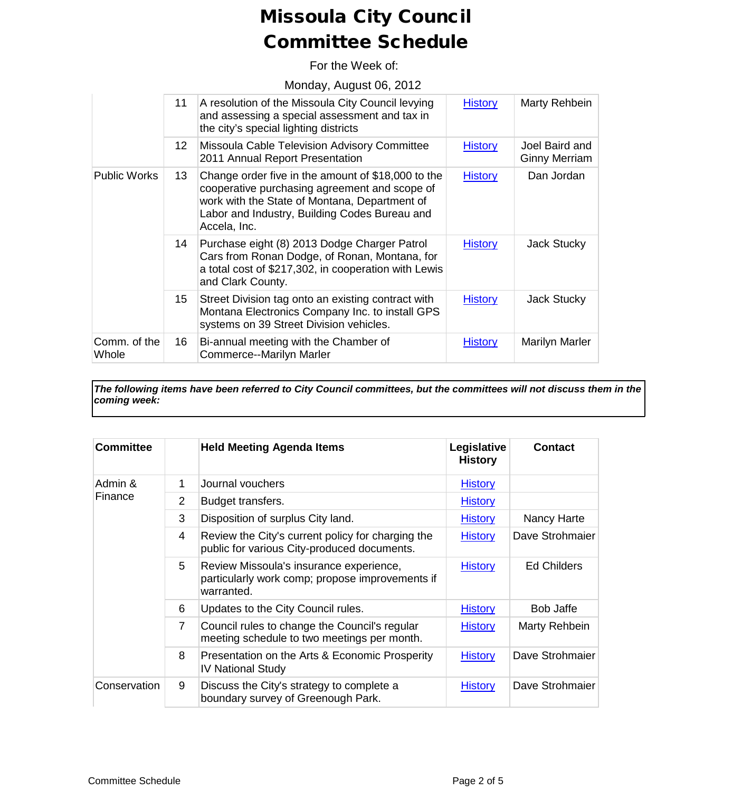For the Week of:

Monday, August 06, 2012

|                       | 11               | A resolution of the Missoula City Council levying<br>and assessing a special assessment and tax in<br>the city's special lighting districts                                                                           | <b>History</b> | Marty Rehbein                          |
|-----------------------|------------------|-----------------------------------------------------------------------------------------------------------------------------------------------------------------------------------------------------------------------|----------------|----------------------------------------|
|                       | 12 <sup>12</sup> | Missoula Cable Television Advisory Committee<br>2011 Annual Report Presentation                                                                                                                                       | <b>History</b> | Joel Baird and<br><b>Ginny Merriam</b> |
| <b>Public Works</b>   | 13 <sup>°</sup>  | Change order five in the amount of \$18,000 to the<br>cooperative purchasing agreement and scope of<br>work with the State of Montana, Department of<br>Labor and Industry, Building Codes Bureau and<br>Accela, Inc. | <b>History</b> | Dan Jordan                             |
|                       | 14               | Purchase eight (8) 2013 Dodge Charger Patrol<br>Cars from Ronan Dodge, of Ronan, Montana, for<br>a total cost of \$217,302, in cooperation with Lewis<br>and Clark County.                                            | <b>History</b> | <b>Jack Stucky</b>                     |
|                       | 15 <sub>1</sub>  | Street Division tag onto an existing contract with<br>Montana Electronics Company Inc. to install GPS<br>systems on 39 Street Division vehicles.                                                                      | <b>History</b> | Jack Stucky                            |
| Comm. of the<br>Whole | 16               | Bi-annual meeting with the Chamber of<br>Commerce--Marilyn Marler                                                                                                                                                     | <b>History</b> | Marilyn Marler                         |

*The following items have been referred to City Council committees, but the committees will not discuss them in the coming week:*

| <b>Committee</b> |                | <b>Held Meeting Agenda Items</b>                                                                         | Legislative<br><b>History</b> | <b>Contact</b>  |
|------------------|----------------|----------------------------------------------------------------------------------------------------------|-------------------------------|-----------------|
| Admin &          | 1              | Journal vouchers                                                                                         | <b>History</b>                |                 |
| Finance          | $\overline{2}$ | Budget transfers.                                                                                        | <b>History</b>                |                 |
|                  | 3              | Disposition of surplus City land.                                                                        | <b>History</b>                | Nancy Harte     |
|                  | 4              | Review the City's current policy for charging the<br>public for various City-produced documents.         | <b>History</b>                | Dave Strohmaier |
|                  | 5              | Review Missoula's insurance experience,<br>particularly work comp; propose improvements if<br>warranted. | <b>History</b>                | Ed Childers     |
|                  | 6              | Updates to the City Council rules.                                                                       | <b>History</b>                | Bob Jaffe       |
|                  | $\overline{7}$ | Council rules to change the Council's regular<br>meeting schedule to two meetings per month.             | <b>History</b>                | Marty Rehbein   |
|                  | 8              | Presentation on the Arts & Economic Prosperity<br><b>IV National Study</b>                               | <b>History</b>                | Dave Strohmaier |
| Conservation     | 9              | Discuss the City's strategy to complete a<br>boundary survey of Greenough Park.                          | <b>History</b>                | Dave Strohmaier |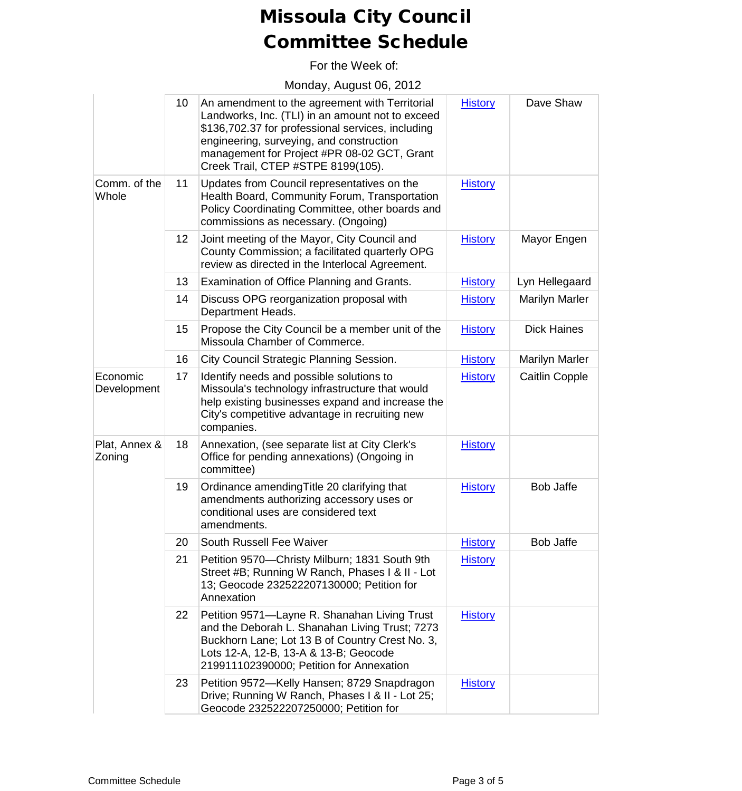For the Week of:

Monday, August 06, 2012

|                         | 10              | An amendment to the agreement with Territorial<br>Landworks, Inc. (TLI) in an amount not to exceed<br>\$136,702.37 for professional services, including<br>engineering, surveying, and construction<br>management for Project #PR 08-02 GCT, Grant<br>Creek Trail, CTEP #STPE 8199(105). | <b>History</b> | Dave Shaw             |
|-------------------------|-----------------|------------------------------------------------------------------------------------------------------------------------------------------------------------------------------------------------------------------------------------------------------------------------------------------|----------------|-----------------------|
| Comm. of the<br>Whole   | 11              | Updates from Council representatives on the<br>Health Board, Community Forum, Transportation<br>Policy Coordinating Committee, other boards and<br>commissions as necessary. (Ongoing)                                                                                                   | <b>History</b> |                       |
|                         | 12 <sub>2</sub> | Joint meeting of the Mayor, City Council and<br>County Commission; a facilitated quarterly OPG<br>review as directed in the Interlocal Agreement.                                                                                                                                        | <b>History</b> | Mayor Engen           |
|                         | 13              | Examination of Office Planning and Grants.                                                                                                                                                                                                                                               | <b>History</b> | Lyn Hellegaard        |
|                         | 14              | Discuss OPG reorganization proposal with<br>Department Heads.                                                                                                                                                                                                                            | <b>History</b> | Marilyn Marler        |
|                         | 15              | Propose the City Council be a member unit of the<br>Missoula Chamber of Commerce.                                                                                                                                                                                                        | <b>History</b> | <b>Dick Haines</b>    |
|                         | 16              | City Council Strategic Planning Session.                                                                                                                                                                                                                                                 | <b>History</b> | <b>Marilyn Marler</b> |
| Economic<br>Development | 17              | Identify needs and possible solutions to<br>Missoula's technology infrastructure that would<br>help existing businesses expand and increase the<br>City's competitive advantage in recruiting new<br>companies.                                                                          | <b>History</b> | Caitlin Copple        |
| Plat, Annex &<br>Zoning | 18              | Annexation, (see separate list at City Clerk's<br>Office for pending annexations) (Ongoing in<br>committee)                                                                                                                                                                              | <b>History</b> |                       |
|                         | 19              | Ordinance amending Title 20 clarifying that<br>amendments authorizing accessory uses or<br>conditional uses are considered text<br>amendments.                                                                                                                                           | <b>History</b> | <b>Bob Jaffe</b>      |
|                         | 20              | South Russell Fee Waiver                                                                                                                                                                                                                                                                 | <b>History</b> | Bob Jaffe             |
|                         | 21              | Petition 9570-Christy Milburn; 1831 South 9th<br>Street #B; Running W Ranch, Phases I & II - Lot<br>13; Geocode 232522207130000; Petition for<br>Annexation                                                                                                                              | <b>History</b> |                       |
|                         | 22              | Petition 9571-Layne R. Shanahan Living Trust<br>and the Deborah L. Shanahan Living Trust; 7273<br>Buckhorn Lane; Lot 13 B of Country Crest No. 3,<br>Lots 12-A, 12-B, 13-A & 13-B; Geocode<br>219911102390000; Petition for Annexation                                                   | <b>History</b> |                       |
|                         | 23              | Petition 9572-Kelly Hansen; 8729 Snapdragon<br>Drive; Running W Ranch, Phases I & II - Lot 25;<br>Geocode 232522207250000; Petition for                                                                                                                                                  | <b>History</b> |                       |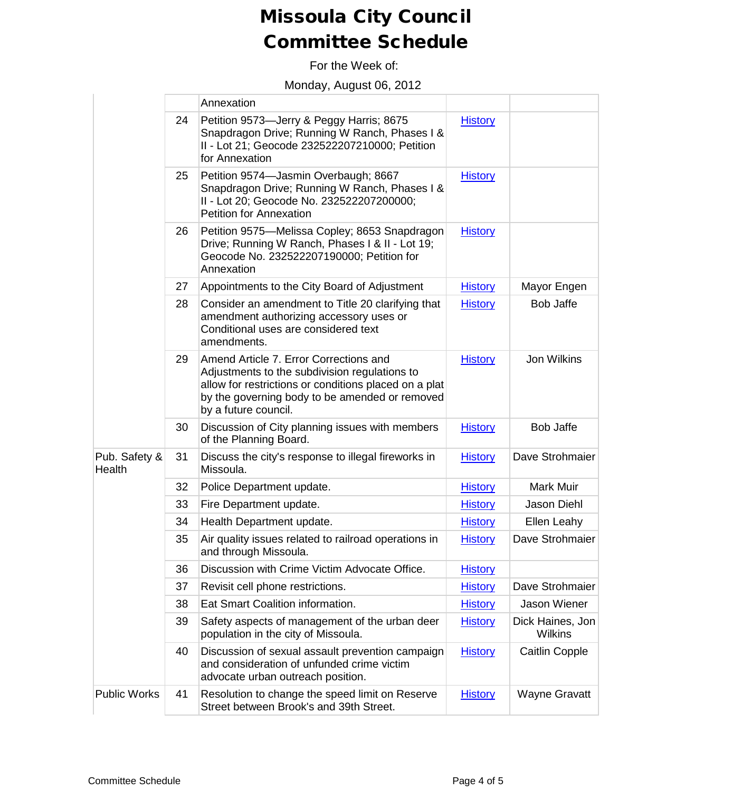For the Week of:

Monday, August 06, 2012

|                         |    | Annexation                                                                                                                                                                                                                 |                |                                    |
|-------------------------|----|----------------------------------------------------------------------------------------------------------------------------------------------------------------------------------------------------------------------------|----------------|------------------------------------|
|                         | 24 | Petition 9573-Jerry & Peggy Harris; 8675<br>Snapdragon Drive; Running W Ranch, Phases I &<br>II - Lot 21; Geocode 232522207210000; Petition<br>for Annexation                                                              | <b>History</b> |                                    |
|                         | 25 | Petition 9574-Jasmin Overbaugh; 8667<br>Snapdragon Drive; Running W Ranch, Phases I &<br>II - Lot 20; Geocode No. 232522207200000;<br><b>Petition for Annexation</b>                                                       | <b>History</b> |                                    |
|                         | 26 | Petition 9575-Melissa Copley; 8653 Snapdragon<br>Drive; Running W Ranch, Phases I & II - Lot 19;<br>Geocode No. 232522207190000; Petition for<br>Annexation                                                                | <b>History</b> |                                    |
|                         | 27 | Appointments to the City Board of Adjustment                                                                                                                                                                               | <b>History</b> | Mayor Engen                        |
|                         | 28 | Consider an amendment to Title 20 clarifying that<br>amendment authorizing accessory uses or<br>Conditional uses are considered text<br>amendments.                                                                        | <b>History</b> | <b>Bob Jaffe</b>                   |
|                         | 29 | Amend Article 7. Error Corrections and<br>Adjustments to the subdivision regulations to<br>allow for restrictions or conditions placed on a plat<br>by the governing body to be amended or removed<br>by a future council. | <b>History</b> | Jon Wilkins                        |
|                         | 30 | Discussion of City planning issues with members<br>of the Planning Board.                                                                                                                                                  | <b>History</b> | <b>Bob Jaffe</b>                   |
| Pub. Safety &<br>Health | 31 | Discuss the city's response to illegal fireworks in<br>Missoula.                                                                                                                                                           | <b>History</b> | Dave Strohmaier                    |
|                         | 32 | Police Department update.                                                                                                                                                                                                  | <b>History</b> | <b>Mark Muir</b>                   |
|                         | 33 | Fire Department update.                                                                                                                                                                                                    | <b>History</b> | Jason Diehl                        |
|                         | 34 | Health Department update.                                                                                                                                                                                                  | <b>History</b> | Ellen Leahy                        |
|                         | 35 | Air quality issues related to railroad operations in<br>and through Missoula.                                                                                                                                              | <b>History</b> | Dave Strohmaier                    |
|                         | 36 | Discussion with Crime Victim Advocate Office.                                                                                                                                                                              | <b>History</b> |                                    |
|                         | 37 | Revisit cell phone restrictions.                                                                                                                                                                                           | <b>History</b> | Dave Strohmaier                    |
|                         | 38 | Eat Smart Coalition information.                                                                                                                                                                                           | <b>History</b> | Jason Wiener                       |
|                         | 39 | Safety aspects of management of the urban deer<br>population in the city of Missoula.                                                                                                                                      | <b>History</b> | Dick Haines, Jon<br><b>Wilkins</b> |
|                         | 40 | Discussion of sexual assault prevention campaign<br>and consideration of unfunded crime victim<br>advocate urban outreach position.                                                                                        | <b>History</b> | <b>Caitlin Copple</b>              |
| <b>Public Works</b>     | 41 | Resolution to change the speed limit on Reserve<br>Street between Brook's and 39th Street.                                                                                                                                 | <b>History</b> | <b>Wayne Gravatt</b>               |